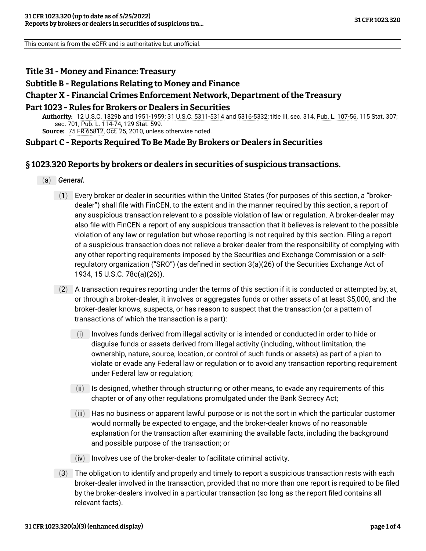This content is from the eCFR and is authoritative but unofficial.

# **Title 31 - Money and Finance: Treasury**

### **Subtitle B - Regulations Relating to Money and Finance**

#### **Chapter X - Financial Crimes Enforcement Network, Department of the Treasury**

#### **Part 1023 - Rules for Brokers or Dealers in Securities**

**Authority:** [12 U.S.C. 1829b](https://www.govinfo.gov/link/uscode/12/1829b) and [1951-1959;](https://www.govinfo.gov/link/uscode/12/1951) [31 U.S.C. 5311-5314](https://www.govinfo.gov/link/uscode/31/5311) and [5316-5332;](https://www.govinfo.gov/link/uscode/31/5316) title III, sec. 314, [Pub. L. 107-56,](https://www.govinfo.gov/link/plaw/107/public/56) 115 Stat. 307; sec. 701, [Pub. L. 114-74](https://www.govinfo.gov/link/plaw/114/public/74), 129 Stat. 599. **Source:** [75 FR 65812,](https://www.federalregister.gov/citation/75-FR-65812) Oct. 25, 2010, unless otherwise noted.

**Subpart C - Reports Required To Be Made By Brokers or Dealers in Securities**

## **§ 1023.320 Reports by brokers or dealers in securities of suspicious transactions.**

- (a) *General.*
	- (1) Every broker or dealer in securities within the United States (for purposes of this section, a "brokerdealer") shall file with FinCEN, to the extent and in the manner required by this section, a report of any suspicious transaction relevant to a possible violation of law or regulation. A broker-dealer may also file with FinCEN a report of any suspicious transaction that it believes is relevant to the possible violation of any law or regulation but whose reporting is not required by this section. Filing a report of a suspicious transaction does not relieve a broker-dealer from the responsibility of complying with any other reporting requirements imposed by the Securities and Exchange Commission or a selfregulatory organization ("SRO") (as defined in section 3(a)(26) of the Securities Exchange Act of 1934, [15 U.S.C. 78c\(a\)\(26\)\)](https://www.govinfo.gov/link/uscode/15/78c).
	- (2) A transaction requires reporting under the terms of this section if it is conducted or attempted by, at, or through a broker-dealer, it involves or aggregates funds or other assets of at least \$5,000, and the broker-dealer knows, suspects, or has reason to suspect that the transaction (or a pattern of transactions of which the transaction is a part):
		- (i) Involves funds derived from illegal activity or is intended or conducted in order to hide or disguise funds or assets derived from illegal activity (including, without limitation, the ownership, nature, source, location, or control of such funds or assets) as part of a plan to violate or evade any Federal law or regulation or to avoid any transaction reporting requirement under Federal law or regulation;
		- (ii) Is designed, whether through structuring or other means, to evade any requirements of this chapter or of any other regulations promulgated under the Bank Secrecy Act;
		- (iii) Has no business or apparent lawful purpose or is not the sort in which the particular customer would normally be expected to engage, and the broker-dealer knows of no reasonable explanation for the transaction after examining the available facts, including the background and possible purpose of the transaction; or
		- (iv) Involves use of the broker-dealer to facilitate criminal activity.
	- $(3)$  The obligation to identify and properly and timely to report a suspicious transaction rests with each broker-dealer involved in the transaction, provided that no more than one report is required to be filed by the broker-dealers involved in a particular transaction (so long as the report filed contains all relevant facts).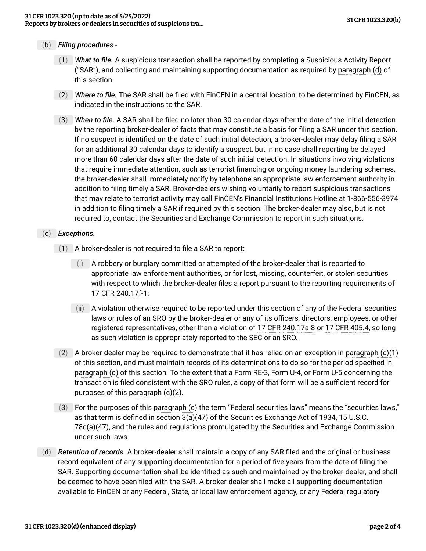- (b) *Filing procedures*
	- (1) *What to file.* A suspicious transaction shall be reported by completing a Suspicious Activity Report ("SAR"), and collecting and maintaining supporting documentation as required by [paragraph \(d\)](#page-1-0) of this section.
	- (2) *Where to file.* The SAR shall be filed with FinCEN in a central location, to be determined by FinCEN, as indicated in the instructions to the SAR.
	- (3) *When to file.* A SAR shall be filed no later than 30 calendar days after the date of the initial detection by the reporting broker-dealer of facts that may constitute a basis for filing a SAR under this section. If no suspect is identified on the date of such initial detection, a broker-dealer may delay filing a SAR for an additional 30 calendar days to identify a suspect, but in no case shall reporting be delayed more than 60 calendar days after the date of such initial detection. In situations involving violations that require immediate attention, such as terrorist financing or ongoing money laundering schemes, the broker-dealer shall immediately notify by telephone an appropriate law enforcement authority in addition to filing timely a SAR. Broker-dealers wishing voluntarily to report suspicious transactions that may relate to terrorist activity may call FinCEN's Financial Institutions Hotline at 1-866-556-3974 in addition to filing timely a SAR if required by this section. The broker-dealer may also, but is not required to, contact the Securities and Exchange Commission to report in such situations.
- <span id="page-1-3"></span><span id="page-1-1"></span>(c) *Exceptions.*
	- $(1)$  A broker-dealer is not required to file a SAR to report:
		- (i) A robbery or burglary committed or attempted of the broker-dealer that is reported to appropriate law enforcement authorities, or for lost, missing, counterfeit, or stolen securities with respect to which the broker-dealer files a report pursuant to the reporting requirements of [17 CFR 240.17f-1](https://www.ecfr.gov/current/title-17/section-240.17f-1/);
		- (ii) A violation otherwise required to be reported under this section of any of the Federal securities laws or rules of an SRO by the broker-dealer or any of its officers, directors, employees, or other registered representatives, other than a violation of [17 CFR 240.17a-8](https://www.ecfr.gov/current/title-17/section-240.17a-8/) or [17 CFR 405.4](https://www.ecfr.gov/current/title-17/section-405.4/), so long as such violation is appropriately reported to the SEC or an SRO.
	- (2) A broker-dealer may be required to demonstrate that it has relied on an exception in paragraph  $(c)(1)$ of this section, and must maintain records of its determinations to do so for the period specified in [paragraph \(d\)](#page-1-0) of this section. To the extent that a Form RE-3, Form U-4, or Form U-5 concerning the transaction is filed consistent with the SRO rules, a copy of that form will be a sufficient record for purposes of this [paragraph \(c\)\(2\)](#page-1-2).
	- (3) For the purposes of this [paragraph \(c\)](#page-1-3) the term "Federal securities laws" means the "securities laws," as that term is defined in section 3(a)(47) of the Securities Exchange Act of 1934, [15 U.S.C.](https://www.govinfo.gov/link/uscode/15/78c) [78c\(a\)\(47\),](https://www.govinfo.gov/link/uscode/15/78c) and the rules and regulations promulgated by the Securities and Exchange Commission under such laws.
- <span id="page-1-2"></span><span id="page-1-0"></span>(d) *Retention of records.* A broker-dealer shall maintain a copy of any SAR filed and the original or business record equivalent of any supporting documentation for a period of five years from the date of filing the SAR. Supporting documentation shall be identified as such and maintained by the broker-dealer, and shall be deemed to have been filed with the SAR. A broker-dealer shall make all supporting documentation available to FinCEN or any Federal, State, or local law enforcement agency, or any Federal regulatory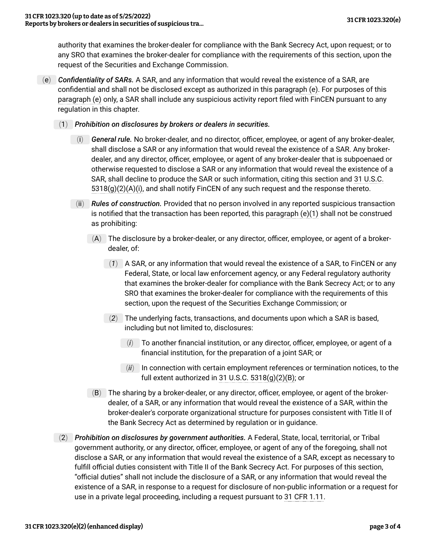authority that examines the broker-dealer for compliance with the Bank Secrecy Act, upon request; or to any SRO that examines the broker-dealer for compliance with the requirements of this section, upon the request of the Securities and Exchange Commission.

- <span id="page-2-1"></span><span id="page-2-0"></span>(e) *Confidentiality of SARs.* A SAR, and any information that would reveal the existence of a SAR, are confidential and shall not be disclosed except as authorized in this [paragraph \(e\)](#page-2-0). For purposes of this [paragraph \(e\)](#page-2-0) only, a SAR shall include any suspicious activity report filed with FinCEN pursuant to any regulation in this chapter.
	- (1) *Prohibition on disclosures by brokers or dealers in securities.*
		- (i) *General rule.* No broker-dealer, and no director, officer, employee, or agent of any broker-dealer, shall disclose a SAR or any information that would reveal the existence of a SAR. Any brokerdealer, and any director, officer, employee, or agent of any broker-dealer that is subpoenaed or otherwise requested to disclose a SAR or any information that would reveal the existence of a SAR, shall decline to produce the SAR or such information, citing this section and [31 U.S.C.](https://www.govinfo.gov/link/uscode/31/5318)  $5318(g)(2)(A)(i)$ , and shall notify FinCEN of any such request and the response thereto.
		- (ii) *Rules of construction.* Provided that no person involved in any reported suspicious transaction is notified that the transaction has been reported, this [paragraph \(e\)\(1\)](#page-2-1) shall not be construed as prohibiting:
			- (A) The disclosure by a broker-dealer, or any director, officer, employee, or agent of a brokerdealer, of:
				- (*1*) A SAR, or any information that would reveal the existence of a SAR, to FinCEN or any Federal, State, or local law enforcement agency, or any Federal regulatory authority that examines the broker-dealer for compliance with the Bank Secrecy Act; or to any SRO that examines the broker-dealer for compliance with the requirements of this section, upon the request of the Securities Exchange Commission; or
				- (*2*) The underlying facts, transactions, and documents upon which a SAR is based, including but not limited to, disclosures:
					- (*i*) To another financial institution, or any director, officer, employee, or agent of a financial institution, for the preparation of a joint SAR; or
					- (*ii*) In connection with certain employment references or termination notices, to the full extent authorized in [31 U.S.C. 5318\(g\)\(2\)\(B\);](https://www.govinfo.gov/link/uscode/31/5318) or
			- (B) The sharing by a broker-dealer, or any director, officer, employee, or agent of the brokerdealer, of a SAR, or any information that would reveal the existence of a SAR, within the broker-dealer's corporate organizational structure for purposes consistent with Title II of the Bank Secrecy Act as determined by regulation or in guidance.
	- (2) *Prohibition on disclosures by government authorities.* A Federal, State, local, territorial, or Tribal government authority, or any director, officer, employee, or agent of any of the foregoing, shall not disclose a SAR, or any information that would reveal the existence of a SAR, except as necessary to fulfill official duties consistent with Title II of the Bank Secrecy Act. For purposes of this section, "official duties" shall not include the disclosure of a SAR, or any information that would reveal the existence of a SAR, in response to a request for disclosure of non-public information or a request for use in a private legal proceeding, including a request pursuant to [31 CFR 1.11](https://www.ecfr.gov/current/title-31/section-1.11/).